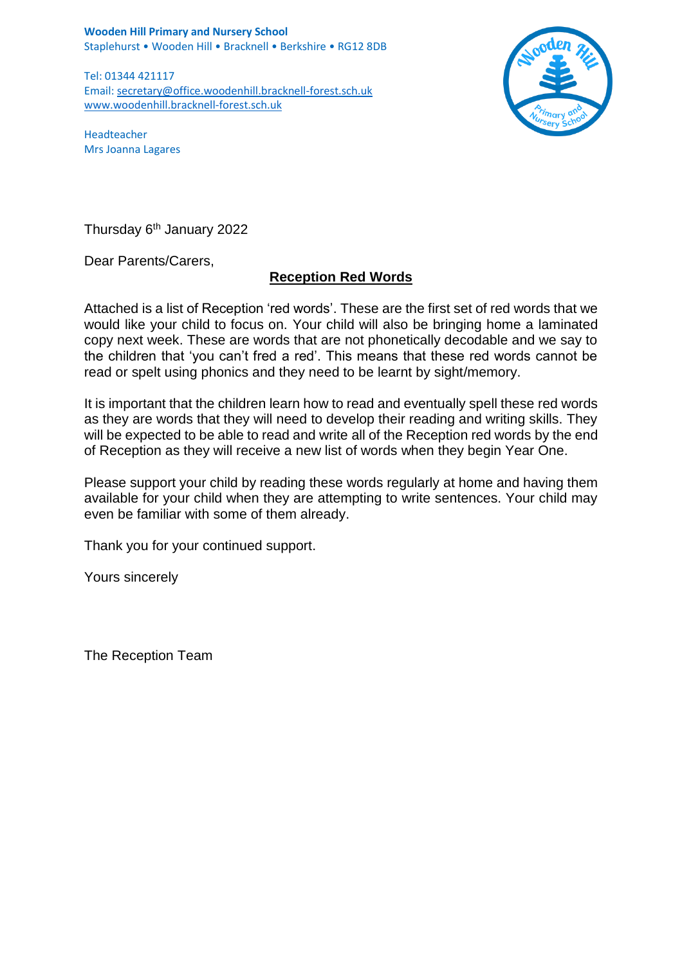**Wooden Hill Primary and Nursery School** Staplehurst • Wooden Hill • Bracknell • Berkshire • RG12 8DB

Tel: 01344 421117 Email: [secretary@office.woodenhill.bracknell-forest.sch.uk](mailto:secretary@office.woodenhill.bracknell-forest.sch.uk) [www.woodenhill.bracknell-forest.sch.uk](http://www.woodenhill.bracknell-forest.sch.uk/)



Headteacher Mrs Joanna Lagares

Thursday 6<sup>th</sup> January 2022

Dear Parents/Carers,

## **Reception Red Words**

Attached is a list of Reception 'red words'. These are the first set of red words that we would like your child to focus on. Your child will also be bringing home a laminated copy next week. These are words that are not phonetically decodable and we say to the children that 'you can't fred a red'. This means that these red words cannot be read or spelt using phonics and they need to be learnt by sight/memory.

It is important that the children learn how to read and eventually spell these red words as they are words that they will need to develop their reading and writing skills. They will be expected to be able to read and write all of the Reception red words by the end of Reception as they will receive a new list of words when they begin Year One.

Please support your child by reading these words regularly at home and having them available for your child when they are attempting to write sentences. Your child may even be familiar with some of them already.

Thank you for your continued support.

Yours sincerely

The Reception Team